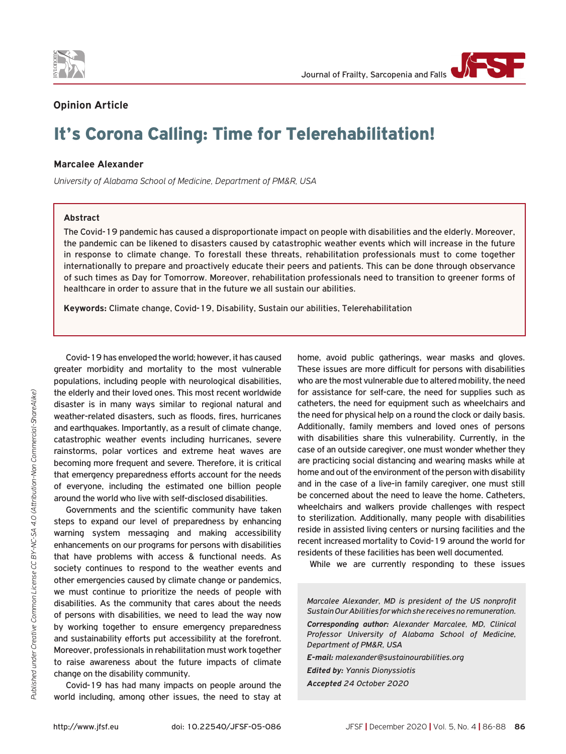



## **Opinion Article**

# It's Corona Calling: Time for Telerehabilitation!

### **Marcalee Alexander**

*University of Alabama School of Medicine, Department of PM&R, USA*

#### **Abstract**

The Covid-19 pandemic has caused a disproportionate impact on people with disabilities and the elderly. Moreover, the pandemic can be likened to disasters caused by catastrophic weather events which will increase in the future in response to climate change. To forestall these threats, rehabilitation professionals must to come together internationally to prepare and proactively educate their peers and patients. This can be done through observance of such times as Day for Tomorrow. Moreover, rehabilitation professionals need to transition to greener forms of healthcare in order to assure that in the future we all sustain our abilities.

**Keywords:** Climate change, Covid-19, Disability, Sustain our abilities, Telerehabilitation

Covid-19 has enveloped the world; however, it has caused greater morbidity and mortality to the most vulnerable populations, including people with neurological disabilities, the elderly and their loved ones. This most recent worldwide disaster is in many ways similar to regional natural and weather-related disasters, such as floods, fires, hurricanes and earthquakes. Importantly, as a result of climate change, catastrophic weather events including hurricanes, severe rainstorms, polar vortices and extreme heat waves are becoming more frequent and severe. Therefore, it is critical that emergency preparedness efforts account for the needs of everyone, including the estimated one billion people around the world who live with self-disclosed disabilities.

Governments and the scientific community have taken steps to expand our level of preparedness by enhancing warning system messaging and making accessibility enhancements on our programs for persons with disabilities that have problems with access & functional needs. As society continues to respond to the weather events and other emergencies caused by climate change or pandemics, we must continue to prioritize the needs of people with disabilities. As the community that cares about the needs of persons with disabilities, we need to lead the way now by working together to ensure emergency preparedness and sustainability efforts put accessibility at the forefront. Moreover, professionals in rehabilitation must work together to raise awareness about the future impacts of climate change on the disability community.

Covid-19 has had many impacts on people around the world including, among other issues, the need to stay at home, avoid public gatherings, wear masks and gloves. These issues are more difficult for persons with disabilities who are the most vulnerable due to altered mobility, the need for assistance for self-care, the need for supplies such as catheters, the need for equipment such as wheelchairs and the need for physical help on a round the clock or daily basis. Additionally, family members and loved ones of persons with disabilities share this vulnerability. Currently, in the case of an outside caregiver, one must wonder whether they are practicing social distancing and wearing masks while at home and out of the environment of the person with disability and in the case of a live-in family caregiver, one must still be concerned about the need to leave the home. Catheters, wheelchairs and walkers provide challenges with respect to sterilization. Additionally, many people with disabilities reside in assisted living centers or nursing facilities and the recent increased mortality to Covid-19 around the world for residents of these facilities has been well documented.

While we are currently responding to these issues

*Marcalee Alexander, MD is president of the US nonprofit Sustain Our Abilities for which she receives no remuneration.*

*Corresponding author: Alexander Marcalee, MD, Clinical Professor University of Alabama School of Medicine, Department of PM&R, USA*

*E-mail: malexander@sustainourabilities.org Edited by: Yannis Dionyssiotis Accepted 24 October 2020*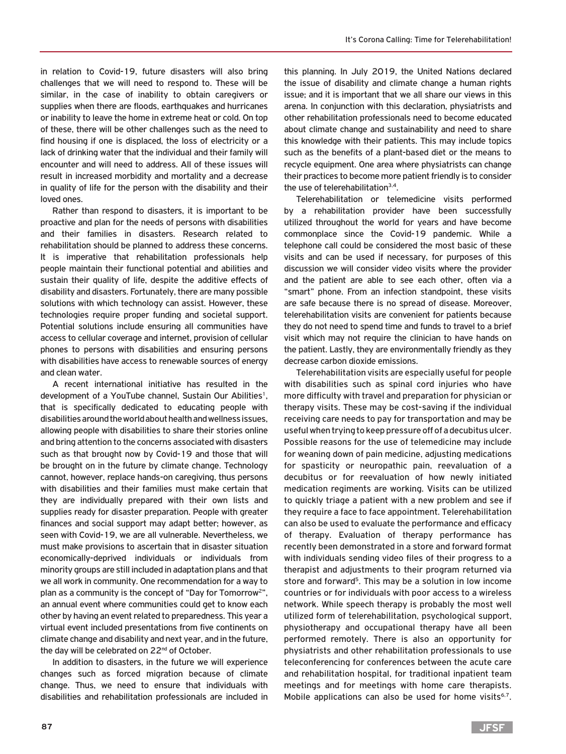in relation to Covid-19, future disasters will also bring challenges that we will need to respond to. These will be similar, in the case of inability to obtain caregivers or supplies when there are floods, earthquakes and hurricanes or inability to leave the home in extreme heat or cold. On top of these, there will be other challenges such as the need to find housing if one is displaced, the loss of electricity or a lack of drinking water that the individual and their family will encounter and will need to address. All of these issues will result in increased morbidity and mortality and a decrease in quality of life for the person with the disability and their loved ones.

Rather than respond to disasters, it is important to be proactive and plan for the needs of persons with disabilities and their families in disasters. Research related to rehabilitation should be planned to address these concerns. It is imperative that rehabilitation professionals help people maintain their functional potential and abilities and sustain their quality of life, despite the additive effects of disability and disasters. Fortunately, there are many possible solutions with which technology can assist. However, these technologies require proper funding and societal support. Potential solutions include ensuring all communities have access to cellular coverage and internet, provision of cellular phones to persons with disabilities and ensuring persons with disabilities have access to renewable sources of energy and clean water.

A recent international initiative has resulted in the development of a YouTube channel, Sustain Our Abilities<sup>1</sup>, that is specifically dedicated to educating people with disabilities around the world about health and wellness issues, allowing people with disabilities to share their stories online and bring attention to the concerns associated with disasters such as that brought now by Covid-19 and those that will be brought on in the future by climate change. Technology cannot, however, replace hands-on caregiving, thus persons with disabilities and their families must make certain that they are individually prepared with their own lists and supplies ready for disaster preparation. People with greater finances and social support may adapt better; however, as seen with Covid-19, we are all vulnerable. Nevertheless, we must make provisions to ascertain that in disaster situation economically-deprived individuals or individuals from minority groups are still included in adaptation plans and that we all work in community. One recommendation for a way to plan as a community is the concept of "Day for Tomorrow2", an annual event where communities could get to know each other by having an event related to preparedness. This year a virtual event included presentations from five continents on climate change and disability and next year, and in the future, the day will be celebrated on 22<sup>nd</sup> of October.

In addition to disasters, in the future we will experience changes such as forced migration because of climate change. Thus, we need to ensure that individuals with disabilities and rehabilitation professionals are included in this planning. In July 2019, the United Nations declared the issue of disability and climate change a human rights issue; and it is important that we all share our views in this arena. In conjunction with this declaration, physiatrists and other rehabilitation professionals need to become educated about climate change and sustainability and need to share this knowledge with their patients. This may include topics such as the benefits of a plant-based diet or the means to recycle equipment. One area where physiatrists can change their practices to become more patient friendly is to consider the use of telerehabilitation $3,4$ .

Telerehabilitation or telemedicine visits performed by a rehabilitation provider have been successfully utilized throughout the world for years and have become commonplace since the Covid-19 pandemic. While a telephone call could be considered the most basic of these visits and can be used if necessary, for purposes of this discussion we will consider video visits where the provider and the patient are able to see each other, often via a "smart" phone. From an infection standpoint, these visits are safe because there is no spread of disease. Moreover, telerehabilitation visits are convenient for patients because they do not need to spend time and funds to travel to a brief visit which may not require the clinician to have hands on the patient. Lastly, they are environmentally friendly as they decrease carbon dioxide emissions.

Telerehabilitation visits are especially useful for people with disabilities such as spinal cord injuries who have more difficulty with travel and preparation for physician or therapy visits. These may be cost-saving if the individual receiving care needs to pay for transportation and may be useful when trying to keep pressure off of a decubitus ulcer. Possible reasons for the use of telemedicine may include for weaning down of pain medicine, adjusting medications for spasticity or neuropathic pain, reevaluation of a decubitus or for reevaluation of how newly initiated medication regiments are working. Visits can be utilized to quickly triage a patient with a new problem and see if they require a face to face appointment. Telerehabilitation can also be used to evaluate the performance and efficacy of therapy. Evaluation of therapy performance has recently been demonstrated in a store and forward format with individuals sending video files of their progress to a therapist and adjustments to their program returned via store and forward<sup>5</sup>. This may be a solution in low income countries or for individuals with poor access to a wireless network. While speech therapy is probably the most well utilized form of telerehabilitation, psychological support, physiotherapy and occupational therapy have all been performed remotely. There is also an opportunity for physiatrists and other rehabilitation professionals to use teleconferencing for conferences between the acute care and rehabilitation hospital, for traditional inpatient team meetings and for meetings with home care therapists. Mobile applications can also be used for home visits $6.7$ .